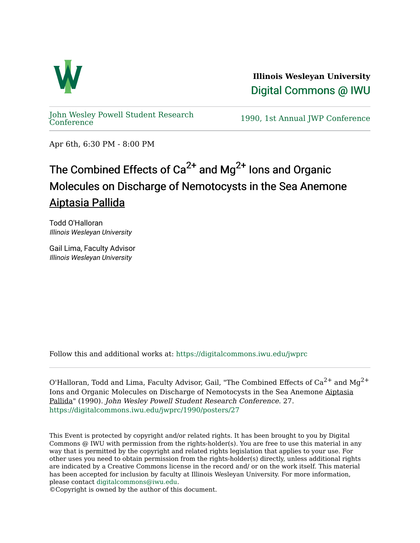

**Illinois Wesleyan University**  [Digital Commons @ IWU](https://digitalcommons.iwu.edu/) 

[John Wesley Powell Student Research](https://digitalcommons.iwu.edu/jwprc) 

1990, 1st Annual JWP [Conference](https://digitalcommons.iwu.edu/jwprc)

Apr 6th, 6:30 PM - 8:00 PM

## The Combined Effects of  $Ca^{2+}$  and Mg<sup>2+</sup> lons and Organic Molecules on Discharge of Nemotocysts in the Sea Anemone Aiptasia Pallida

Todd O'Halloran Illinois Wesleyan University

Gail Lima, Faculty Advisor Illinois Wesleyan University

Follow this and additional works at: [https://digitalcommons.iwu.edu/jwprc](https://digitalcommons.iwu.edu/jwprc?utm_source=digitalcommons.iwu.edu%2Fjwprc%2F1990%2Fposters%2F27&utm_medium=PDF&utm_campaign=PDFCoverPages) 

O'Halloran, Todd and Lima, Faculty Advisor, Gail, "The Combined Effects of  $Ca^{2+}$  and  $Mg^{2+}$ Ions and Organic Molecules on Discharge of Nemotocysts in the Sea Anemone Aiptasia Pallida" (1990). John Wesley Powell Student Research Conference. 27. [https://digitalcommons.iwu.edu/jwprc/1990/posters/27](https://digitalcommons.iwu.edu/jwprc/1990/posters/27?utm_source=digitalcommons.iwu.edu%2Fjwprc%2F1990%2Fposters%2F27&utm_medium=PDF&utm_campaign=PDFCoverPages)

This Event is protected by copyright and/or related rights. It has been brought to you by Digital Commons @ IWU with permission from the rights-holder(s). You are free to use this material in any way that is permitted by the copyright and related rights legislation that applies to your use. For other uses you need to obtain permission from the rights-holder(s) directly, unless additional rights are indicated by a Creative Commons license in the record and/ or on the work itself. This material has been accepted for inclusion by faculty at Illinois Wesleyan University. For more information, please contact [digitalcommons@iwu.edu.](mailto:digitalcommons@iwu.edu)

©Copyright is owned by the author of this document.